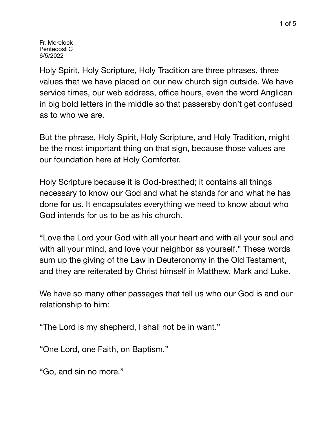Fr. Morelock Pentecost C 6/5/2022

Holy Spirit, Holy Scripture, Holy Tradition are three phrases, three values that we have placed on our new church sign outside. We have service times, our web address, office hours, even the word Anglican in big bold letters in the middle so that passersby don't get confused as to who we are.

But the phrase, Holy Spirit, Holy Scripture, and Holy Tradition, might be the most important thing on that sign, because those values are our foundation here at Holy Comforter.

Holy Scripture because it is God-breathed; it contains all things necessary to know our God and what he stands for and what he has done for us. It encapsulates everything we need to know about who God intends for us to be as his church.

"Love the Lord your God with all your heart and with all your soul and with all your mind, and love your neighbor as yourself." These words sum up the giving of the Law in Deuteronomy in the Old Testament, and they are reiterated by Christ himself in Matthew, Mark and Luke.

We have so many other passages that tell us who our God is and our relationship to him:

"The Lord is my shepherd, I shall not be in want."

"One Lord, one Faith, on Baptism."

"Go, and sin no more."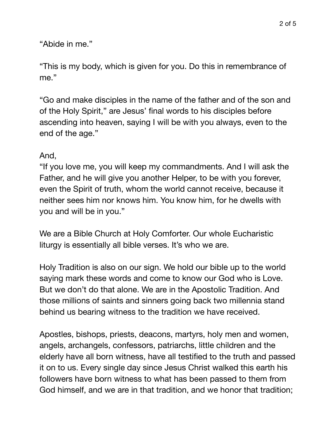"Abide in me."

"This is my body, which is given for you. Do this in remembrance of me."

"Go and make disciples in the name of the father and of the son and of the Holy Spirit," are Jesus' final words to his disciples before ascending into heaven, saying I will be with you always, even to the end of the age."

## And,

"If you love me, you will keep my commandments. And I will ask the Father, and he will give you another Helper, to be with you forever, even the Spirit of truth, whom the world cannot receive, because it neither sees him nor knows him. You know him, for he dwells with you and will be in you."

We are a Bible Church at Holy Comforter. Our whole Eucharistic liturgy is essentially all bible verses. It's who we are.

Holy Tradition is also on our sign. We hold our bible up to the world saying mark these words and come to know our God who is Love. But we don't do that alone. We are in the Apostolic Tradition. And those millions of saints and sinners going back two millennia stand behind us bearing witness to the tradition we have received.

Apostles, bishops, priests, deacons, martyrs, holy men and women, angels, archangels, confessors, patriarchs, little children and the elderly have all born witness, have all testified to the truth and passed it on to us. Every single day since Jesus Christ walked this earth his followers have born witness to what has been passed to them from God himself, and we are in that tradition, and we honor that tradition;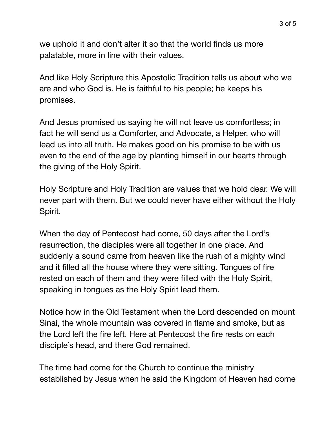we uphold it and don't alter it so that the world finds us more palatable, more in line with their values.

And like Holy Scripture this Apostolic Tradition tells us about who we are and who God is. He is faithful to his people; he keeps his promises.

And Jesus promised us saying he will not leave us comfortless; in fact he will send us a Comforter, and Advocate, a Helper, who will lead us into all truth. He makes good on his promise to be with us even to the end of the age by planting himself in our hearts through the giving of the Holy Spirit.

Holy Scripture and Holy Tradition are values that we hold dear. We will never part with them. But we could never have either without the Holy Spirit.

When the day of Pentecost had come, 50 days after the Lord's resurrection, the disciples were all together in one place. And suddenly a sound came from heaven like the rush of a mighty wind and it filled all the house where they were sitting. Tongues of fire rested on each of them and they were filled with the Holy Spirit, speaking in tongues as the Holy Spirit lead them.

Notice how in the Old Testament when the Lord descended on mount Sinai, the whole mountain was covered in flame and smoke, but as the Lord left the fire left. Here at Pentecost the fire rests on each disciple's head, and there God remained.

The time had come for the Church to continue the ministry established by Jesus when he said the Kingdom of Heaven had come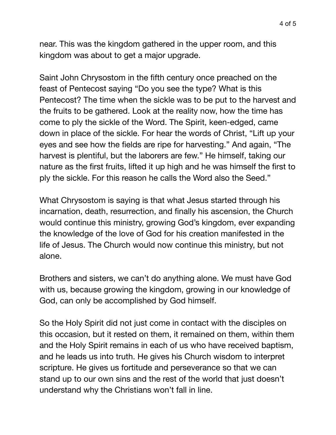near. This was the kingdom gathered in the upper room, and this

Saint John Chrysostom in the fifth century once preached on the feast of Pentecost saying "Do you see the type? What is this Pentecost? The time when the sickle was to be put to the harvest and the fruits to be gathered. Look at the reality now, how the time has come to ply the sickle of the Word. The Spirit, keen-edged, came down in place of the sickle. For hear the words of Christ, "Lift up your eyes and see how the fields are ripe for harvesting." And again, "The harvest is plentiful, but the laborers are few." He himself, taking our nature as the first fruits, lifted it up high and he was himself the first to ply the sickle. For this reason he calls the Word also the Seed."

kingdom was about to get a major upgrade.

What Chrysostom is saying is that what Jesus started through his incarnation, death, resurrection, and finally his ascension, the Church would continue this ministry, growing God's kingdom, ever expanding the knowledge of the love of God for his creation manifested in the life of Jesus. The Church would now continue this ministry, but not alone.

Brothers and sisters, we can't do anything alone. We must have God with us, because growing the kingdom, growing in our knowledge of God, can only be accomplished by God himself.

So the Holy Spirit did not just come in contact with the disciples on this occasion, but it rested on them, it remained on them, within them and the Holy Spirit remains in each of us who have received baptism, and he leads us into truth. He gives his Church wisdom to interpret scripture. He gives us fortitude and perseverance so that we can stand up to our own sins and the rest of the world that just doesn't understand why the Christians won't fall in line.